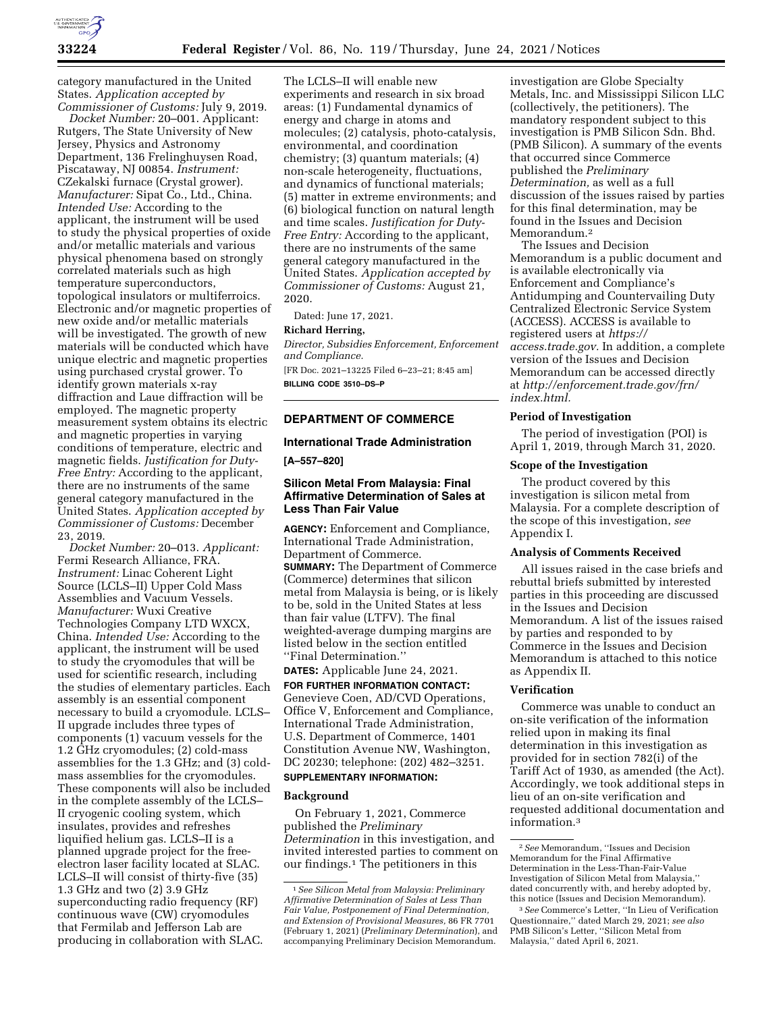

category manufactured in the United States. *Application accepted by Commissioner of Customs:* July 9, 2019.

*Docket Number:* 20–001. Applicant: Rutgers, The State University of New Jersey, Physics and Astronomy Department, 136 Frelinghuysen Road, Piscataway, NJ 00854. *Instrument:*  CZekalski furnace (Crystal grower). *Manufacturer:* Sipat Co., Ltd., China. *Intended Use:* According to the applicant, the instrument will be used to study the physical properties of oxide and/or metallic materials and various physical phenomena based on strongly correlated materials such as high temperature superconductors, topological insulators or multiferroics. Electronic and/or magnetic properties of new oxide and/or metallic materials will be investigated. The growth of new materials will be conducted which have unique electric and magnetic properties using purchased crystal grower. To identify grown materials x-ray diffraction and Laue diffraction will be employed. The magnetic property measurement system obtains its electric and magnetic properties in varying conditions of temperature, electric and magnetic fields. *Justification for Duty-Free Entry:* According to the applicant, there are no instruments of the same general category manufactured in the United States. *Application accepted by Commissioner of Customs:* December 23, 2019.

*Docket Number:* 20–013. *Applicant:*  Fermi Research Alliance, FRA. *Instrument:* Linac Coherent Light Source (LCLS–II) Upper Cold Mass Assemblies and Vacuum Vessels. *Manufacturer:* Wuxi Creative Technologies Company LTD WXCX, China. *Intended Use:* According to the applicant, the instrument will be used to study the cryomodules that will be used for scientific research, including the studies of elementary particles. Each assembly is an essential component necessary to build a cryomodule. LCLS– II upgrade includes three types of components (1) vacuum vessels for the 1.2 GHz cryomodules; (2) cold-mass assemblies for the 1.3 GHz; and (3) coldmass assemblies for the cryomodules. These components will also be included in the complete assembly of the LCLS– II cryogenic cooling system, which insulates, provides and refreshes liquified helium gas. LCLS–II is a planned upgrade project for the freeelectron laser facility located at SLAC. LCLS–II will consist of thirty-five (35) 1.3 GHz and two (2) 3.9 GHz superconducting radio frequency (RF) continuous wave (CW) cryomodules that Fermilab and Jefferson Lab are producing in collaboration with SLAC.

The LCLS–II will enable new experiments and research in six broad areas: (1) Fundamental dynamics of energy and charge in atoms and molecules; (2) catalysis, photo-catalysis, environmental, and coordination chemistry; (3) quantum materials; (4) non-scale heterogeneity, fluctuations, and dynamics of functional materials; (5) matter in extreme environments; and (6) biological function on natural length and time scales. *Justification for Duty-Free Entry:* According to the applicant, there are no instruments of the same general category manufactured in the United States. *Application accepted by Commissioner of Customs:* August 21, 2020.

Dated: June 17, 2021.

#### **Richard Herring,**

*Director, Subsidies Enforcement, Enforcement and Compliance.*  [FR Doc. 2021–13225 Filed 6–23–21; 8:45 am]

**BILLING CODE 3510–DS–P** 

## **DEPARTMENT OF COMMERCE**

## **International Trade Administration**

**[A–557–820]** 

## **Silicon Metal From Malaysia: Final Affirmative Determination of Sales at Less Than Fair Value**

**AGENCY:** Enforcement and Compliance, International Trade Administration, Department of Commerce. **SUMMARY:** The Department of Commerce (Commerce) determines that silicon metal from Malaysia is being, or is likely to be, sold in the United States at less than fair value (LTFV). The final weighted-average dumping margins are listed below in the section entitled ''Final Determination.''

# **DATES:** Applicable June 24, 2021. **FOR FURTHER INFORMATION CONTACT:**  Genevieve Coen, AD/CVD Operations, Office V, Enforcement and Compliance, International Trade Administration, U.S. Department of Commerce, 1401 Constitution Avenue NW, Washington, DC 20230; telephone: (202) 482–3251.

# **SUPPLEMENTARY INFORMATION:**

## **Background**

On February 1, 2021, Commerce published the *Preliminary Determination* in this investigation, and invited interested parties to comment on our findings.1 The petitioners in this

investigation are Globe Specialty Metals, Inc. and Mississippi Silicon LLC (collectively, the petitioners). The mandatory respondent subject to this investigation is PMB Silicon Sdn. Bhd. (PMB Silicon). A summary of the events that occurred since Commerce published the *Preliminary Determination,* as well as a full discussion of the issues raised by parties for this final determination, may be found in the Issues and Decision Memorandum.2

The Issues and Decision Memorandum is a public document and is available electronically via Enforcement and Compliance's Antidumping and Countervailing Duty Centralized Electronic Service System (ACCESS). ACCESS is available to registered users at *https:// access.trade.gov.* In addition, a complete version of the Issues and Decision Memorandum can be accessed directly at *http://enforcement.trade.gov/frn/ index.html.* 

### **Period of Investigation**

The period of investigation (POI) is April 1, 2019, through March 31, 2020.

### **Scope of the Investigation**

The product covered by this investigation is silicon metal from Malaysia. For a complete description of the scope of this investigation, *see*  Appendix I.

### **Analysis of Comments Received**

All issues raised in the case briefs and rebuttal briefs submitted by interested parties in this proceeding are discussed in the Issues and Decision Memorandum. A list of the issues raised by parties and responded to by Commerce in the Issues and Decision Memorandum is attached to this notice as Appendix II.

#### **Verification**

Commerce was unable to conduct an on-site verification of the information relied upon in making its final determination in this investigation as provided for in section 782(i) of the Tariff Act of 1930, as amended (the Act). Accordingly, we took additional steps in lieu of an on-site verification and requested additional documentation and information.3

<sup>1</sup>*See Silicon Metal from Malaysia: Preliminary Affirmative Determination of Sales at Less Than Fair Value, Postponement of Final Determination, and Extension of Provisional Measures,* 86 FR 7701 (February 1, 2021) (*Preliminary Determination*), and accompanying Preliminary Decision Memorandum.

<sup>2</sup>*See* Memorandum, ''Issues and Decision Memorandum for the Final Affirmative Determination in the Less-Than-Fair-Value Investigation of Silicon Metal from Malaysia,'' dated concurrently with, and hereby adopted by, this notice (Issues and Decision Memorandum).

<sup>3</sup>*See* Commerce's Letter, ''In Lieu of Verification Questionnaire,'' dated March 29, 2021; *see also*  PMB Silicon's Letter, ''Silicon Metal from Malaysia,'' dated April 6, 2021.